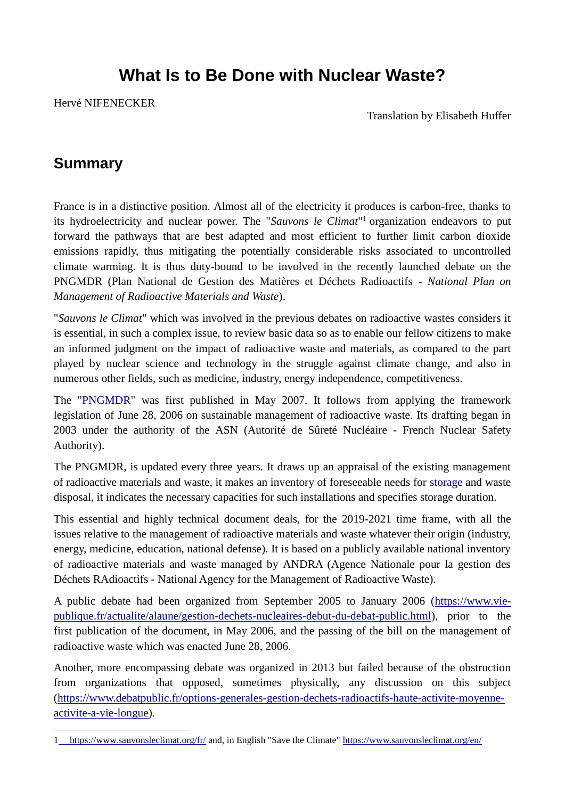## **What Is to Be Done with Nuclear Waste?**

Hervé NIFENECKER

Translation by Elisabeth Huffer

### **Summary**

<u>.</u>

France is in a distinctive position. Almost all of the electricity it produces is carbon-free, thanks to its hydroelectricity and nuclear power. The "*Sauvons le Climat*" <sup>1</sup> organization endeavors to put forward the pathways that are best adapted and most efficient to further limit carbon dioxide emissions rapidly, thus mitigating the potentially considerable risks associated to uncontrolled climate warming. It is thus duty-bound to be involved in the recently launched debate on the PNGMDR (Plan National de Gestion des Matières et Déchets Radioactifs - *National Plan on Management of Radioactive Materials and Waste*).

"*Sauvons le Climat*" which was involved in the previous debates on radioactive wastes considers it is essential, in such a complex issue, to review basic data so as to enable our fellow citizens to make an informed judgment on the impact of radioactive waste and materials, as compared to the part played by nuclear science and technology in the struggle against climate change, and also in numerous other fields, such as medicine, industry, energy independence, competitiveness.

The ["PNGMDR"](https://www.asn.fr/Lexique/P/PNGMDR) was first published in May 2007. It follows from applying the framework legislation of June 28, 2006 on sustainable management of radioactive waste. Its drafting began in 2003 under the authority of the ASN (Autorité de Sûreté Nucléaire - French Nuclear Safety Authority).

The PNGMDR, is updated every three years. It draws up an appraisal of the existing management of radioactive materials and waste, it makes an inventory of foreseeable needs for [storage](https://www.asn.fr/Lexique/E/Entreposage) and waste disposal, it indicates the necessary capacities for such installations and specifies storage duration.

This essential and highly technical document deals, for the 2019-2021 time frame, with all the issues relative to the management of radioactive materials and waste whatever their origin (industry, energy, medicine, education, national defense). It is based on a publicly available national inventory of radioactive materials and waste managed by ANDRA (Agence Nationale pour la gestion des Déchets RAdioactifs - National Agency for the Management of Radioactive Waste).

A public debate had been organized from September 2005 to January 2006 [\(https://www.vie](https://www.vie-publique.fr/actualite/alaune/gestion-dechets-nucleaires-debut-du-debat-public.html)[publique.fr/actualite/alaune/gestion](https://www.vie-publique.fr/actualite/alaune/gestion-dechets-nucleaires-debut-du-debat-public.html)-dechets-nucleaires-debut-du-debat-public.html), prior to the first publication of the document, in May 2006, and the passing of the bill on the management of radioactive waste which was enacted June 28, 2006.

Another, more encompassing debate was organized in 2013 but failed because of the obstruction from organizations that opposed, sometimes physically, any discussion on this subject [\(https://www.debatpublic.fr/options](https://www.debatpublic.fr/options-generales-gestion-dechets-radioactifs-haute-activite-moyenne-activite-a-vie-longue)-generales-gestion-dechets-radioactifs-haute-activite-moyenne[activite](https://www.debatpublic.fr/options-generales-gestion-dechets-radioactifs-haute-activite-moyenne-activite-a-vie-longue)-a-vie-longue).

<sup>1</sup> <https://www.sauvonsleclimat.org/fr/> and, in English "Save the Climate"<https://www.sauvonsleclimat.org/en/>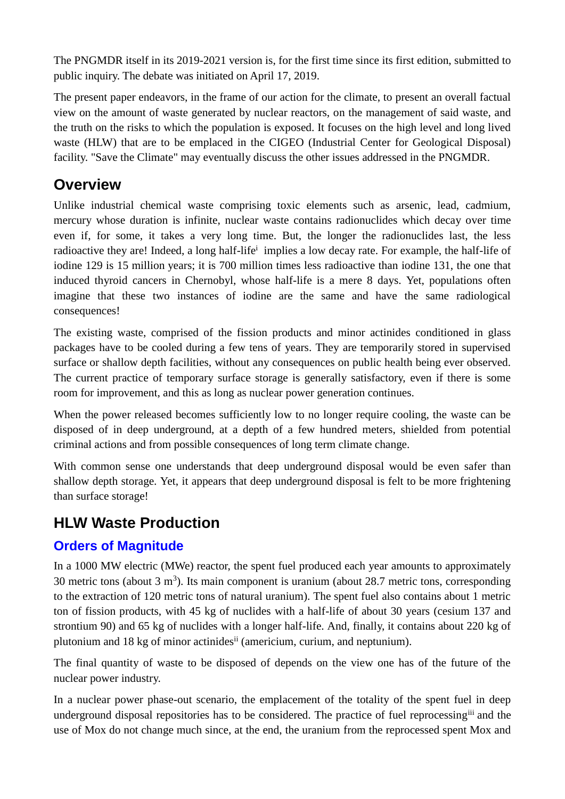The PNGMDR itself in its 2019-2021 version is, for the first time since its first edition, submitted to public inquiry. The debate was initiated on April 17, 2019.

The present paper endeavors, in the frame of our action for the climate, to present an overall factual view on the amount of waste generated by nuclear reactors, on the management of said waste, and the truth on the risks to which the population is exposed. It focuses on the high level and long lived waste (HLW) that are to be emplaced in the CIGEO (Industrial Center for Geological Disposal) facility. "Save the Climate" may eventually discuss the other issues addressed in the PNGMDR.

### **Overview**

Unlike industrial chemical waste comprising toxic elements such as arsenic, lead, cadmium, mercury whose duration is infinite, nuclear waste contains radionuclides which decay over time even if, for some, it takes a very long time. But, the longer the radionuclides last, the less radioactive they are! Indeed, a long half-life<sup>i</sup> implies a low decay rate. For example, the half-life of iodine 129 is 15 million years; it is 700 million times less radioactive than iodine 131, the one that induced thyroid cancers in Chernobyl, whose half-life is a mere 8 days. Yet, populations often imagine that these two instances of iodine are the same and have the same radiological consequences!

The existing waste, comprised of the fission products and minor actinides conditioned in glass packages have to be cooled during a few tens of years. They are temporarily stored in supervised surface or shallow depth facilities, without any consequences on public health being ever observed. The current practice of temporary surface storage is generally satisfactory, even if there is some room for improvement, and this as long as nuclear power generation continues.

When the power released becomes sufficiently low to no longer require cooling, the waste can be disposed of in deep underground, at a depth of a few hundred meters, shielded from potential criminal actions and from possible consequences of long term climate change.

With common sense one understands that deep underground disposal would be even safer than shallow depth storage. Yet, it appears that deep underground disposal is felt to be more frightening than surface storage!

### **HLW Waste Production**

### **Orders of Magnitude**

In a 1000 MW electric (MWe) reactor, the spent fuel produced each year amounts to approximately 30 metric tons (about  $3 \text{ m}^3$ ). Its main component is uranium (about 28.7 metric tons, corresponding to the extraction of 120 metric tons of natural uranium). The spent fuel also contains about 1 metric ton of fission products, with 45 kg of nuclides with a half-life of about 30 years (cesium 137 and strontium 90) and 65 kg of nuclides with a longer half-life. And, finally, it contains about 220 kg of plutonium and 18 kg of minor actinidesii (americium, curium, and neptunium).

The final quantity of waste to be disposed of depends on the view one has of the future of the nuclear power industry.

In a nuclear power phase-out scenario, the emplacement of the totality of the spent fuel in deep underground disposal repositories has to be considered. The practice of fuel reprocessing<sup>iii</sup> and the use of Mox do not change much since, at the end, the uranium from the reprocessed spent Mox and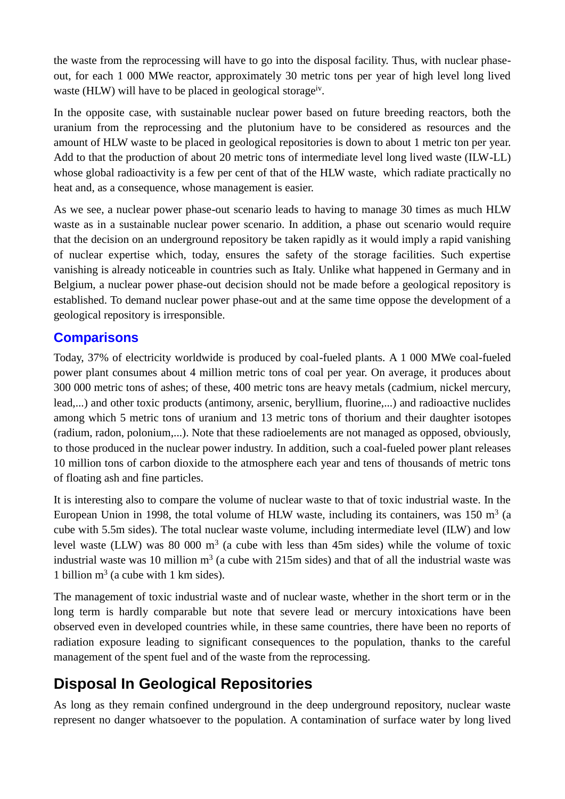the waste from the reprocessing will have to go into the disposal facility. Thus, with nuclear phaseout, for each 1 000 MWe reactor, approximately 30 metric tons per year of high level long lived waste (HLW) will have to be placed in geological storageiv.

In the opposite case, with sustainable nuclear power based on future breeding reactors, both the uranium from the reprocessing and the plutonium have to be considered as resources and the amount of HLW waste to be placed in geological repositories is down to about 1 metric ton per year. Add to that the production of about 20 metric tons of intermediate level long lived waste (ILW-LL) whose global radioactivity is a few per cent of that of the HLW waste, which radiate practically no heat and, as a consequence, whose management is easier.

As we see, a nuclear power phase-out scenario leads to having to manage 30 times as much HLW waste as in a sustainable nuclear power scenario. In addition, a phase out scenario would require that the decision on an underground repository be taken rapidly as it would imply a rapid vanishing of nuclear expertise which, today, ensures the safety of the storage facilities. Such expertise vanishing is already noticeable in countries such as Italy. Unlike what happened in Germany and in Belgium, a nuclear power phase-out decision should not be made before a geological repository is established. To demand nuclear power phase-out and at the same time oppose the development of a geological repository is irresponsible.

### **Comparisons**

Today, 37% of electricity worldwide is produced by coal-fueled plants. A 1 000 MWe coal-fueled power plant consumes about 4 million metric tons of coal per year. On average, it produces about 300 000 metric tons of ashes; of these, 400 metric tons are heavy metals (cadmium, nickel mercury, lead,...) and other toxic products (antimony, arsenic, beryllium, fluorine,...) and radioactive nuclides among which 5 metric tons of uranium and 13 metric tons of thorium and their daughter isotopes (radium, radon, polonium,...). Note that these radioelements are not managed as opposed, obviously, to those produced in the nuclear power industry. In addition, such a coal-fueled power plant releases 10 million tons of carbon dioxide to the atmosphere each year and tens of thousands of metric tons of floating ash and fine particles.

It is interesting also to compare the volume of nuclear waste to that of toxic industrial waste. In the European Union in 1998, the total volume of HLW waste, including its containers, was 150  $m^3$  (a cube with 5.5m sides). The total nuclear waste volume, including intermediate level (ILW) and low level waste (LLW) was 80 000  $m<sup>3</sup>$  (a cube with less than 45m sides) while the volume of toxic industrial waste was 10 million  $m^3$  (a cube with 215m sides) and that of all the industrial waste was 1 billion  $m^3$  (a cube with 1 km sides).

The management of toxic industrial waste and of nuclear waste, whether in the short term or in the long term is hardly comparable but note that severe lead or mercury intoxications have been observed even in developed countries while, in these same countries, there have been no reports of radiation exposure leading to significant consequences to the population, thanks to the careful management of the spent fuel and of the waste from the reprocessing.

## **Disposal In Geological Repositories**

As long as they remain confined underground in the deep underground repository, nuclear waste represent no danger whatsoever to the population. A contamination of surface water by long lived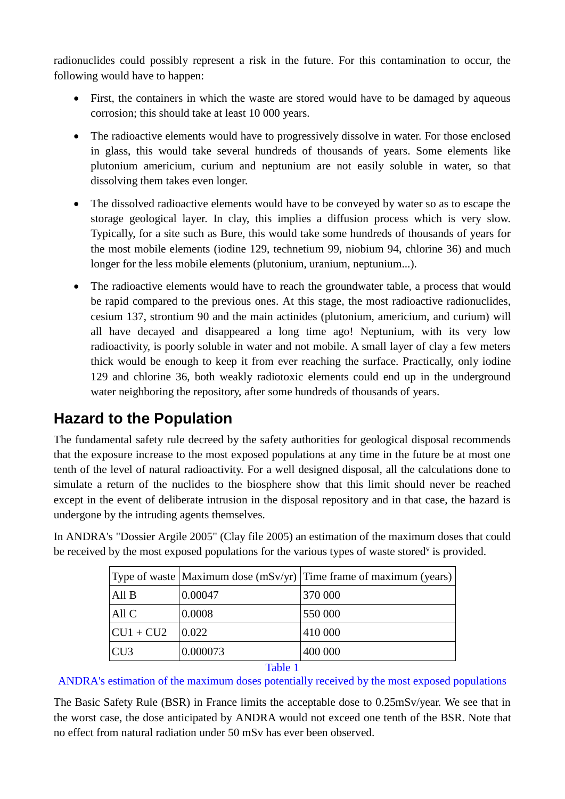radionuclides could possibly represent a risk in the future. For this contamination to occur, the following would have to happen:

- First, the containers in which the waste are stored would have to be damaged by aqueous corrosion; this should take at least 10 000 years.
- The radioactive elements would have to progressively dissolve in water. For those enclosed in glass, this would take several hundreds of thousands of years. Some elements like plutonium americium, curium and neptunium are not easily soluble in water, so that dissolving them takes even longer.
- The dissolved radioactive elements would have to be conveyed by water so as to escape the storage geological layer. In clay, this implies a diffusion process which is very slow. Typically, for a site such as Bure, this would take some hundreds of thousands of years for the most mobile elements (iodine 129, technetium 99, niobium 94, chlorine 36) and much longer for the less mobile elements (plutonium, uranium, neptunium...).
- The radioactive elements would have to reach the groundwater table, a process that would be rapid compared to the previous ones. At this stage, the most radioactive radionuclides, cesium 137, strontium 90 and the main actinides (plutonium, americium, and curium) will all have decayed and disappeared a long time ago! Neptunium, with its very low radioactivity, is poorly soluble in water and not mobile. A small layer of clay a few meters thick would be enough to keep it from ever reaching the surface. Practically, only iodine 129 and chlorine 36, both weakly radiotoxic elements could end up in the underground water neighboring the repository, after some hundreds of thousands of years.

## **Hazard to the Population**

The fundamental safety rule decreed by the safety authorities for geological disposal recommends that the exposure increase to the most exposed populations at any time in the future be at most one tenth of the level of natural radioactivity. For a well designed disposal, all the calculations done to simulate a return of the nuclides to the biosphere show that this limit should never be reached except in the event of deliberate intrusion in the disposal repository and in that case, the hazard is undergone by the intruding agents themselves.

In ANDRA's "Dossier Argile 2005" (Clay file 2005) an estimation of the maximum doses that could be received by the most exposed populations for the various types of waste stored<sup>v</sup> is provided.

|                                   |          | Type of waste Maximum dose (mSv/yr) Time frame of maximum (years) |
|-----------------------------------|----------|-------------------------------------------------------------------|
| All B                             | 0.00047  | 370 000                                                           |
| All C                             | 0.0008   | 550 000                                                           |
| $CU1 + CU2$                       | 0.022    | 410 000                                                           |
| CU <sub>3</sub>                   | 0.000073 | 400 000                                                           |
| $-11$<br>$\overline{\phantom{a}}$ |          |                                                                   |

#### Table 1

#### ANDRA's estimation of the maximum doses potentially received by the most exposed populations

The Basic Safety Rule (BSR) in France limits the acceptable dose to 0.25mSv/year. We see that in the worst case, the dose anticipated by ANDRA would not exceed one tenth of the BSR. Note that no effect from natural radiation under 50 mSv has ever been observed.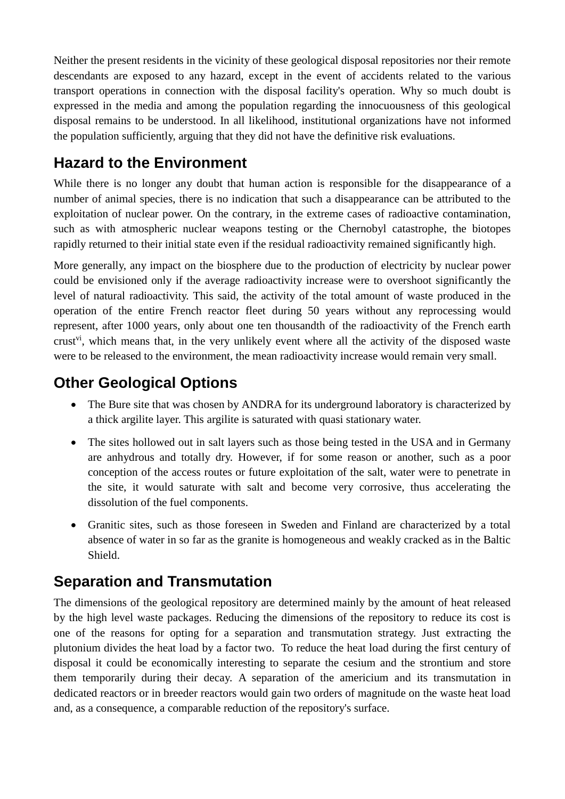Neither the present residents in the vicinity of these geological disposal repositories nor their remote descendants are exposed to any hazard, except in the event of accidents related to the various transport operations in connection with the disposal facility's operation. Why so much doubt is expressed in the media and among the population regarding the innocuousness of this geological disposal remains to be understood. In all likelihood, institutional organizations have not informed the population sufficiently, arguing that they did not have the definitive risk evaluations.

## **Hazard to the Environment**

While there is no longer any doubt that human action is responsible for the disappearance of a number of animal species, there is no indication that such a disappearance can be attributed to the exploitation of nuclear power. On the contrary, in the extreme cases of radioactive contamination, such as with atmospheric nuclear weapons testing or the Chernobyl catastrophe, the biotopes rapidly returned to their initial state even if the residual radioactivity remained significantly high.

More generally, any impact on the biosphere due to the production of electricity by nuclear power could be envisioned only if the average radioactivity increase were to overshoot significantly the level of natural radioactivity. This said, the activity of the total amount of waste produced in the operation of the entire French reactor fleet during 50 years without any reprocessing would represent, after 1000 years, only about one ten thousandth of the radioactivity of the French earth crust<sup>vi</sup>, which means that, in the very unlikely event where all the activity of the disposed waste were to be released to the environment, the mean radioactivity increase would remain very small.

## **Other Geological Options**

- The Bure site that was chosen by ANDRA for its underground laboratory is characterized by a thick argilite layer. This argilite is saturated with quasi stationary water.
- The sites hollowed out in salt layers such as those being tested in the USA and in Germany are anhydrous and totally dry. However, if for some reason or another, such as a poor conception of the access routes or future exploitation of the salt, water were to penetrate in the site, it would saturate with salt and become very corrosive, thus accelerating the dissolution of the fuel components.
- Granitic sites, such as those foreseen in Sweden and Finland are characterized by a total absence of water in so far as the granite is homogeneous and weakly cracked as in the Baltic Shield.

## **Separation and Transmutation**

The dimensions of the geological repository are determined mainly by the amount of heat released by the high level waste packages. Reducing the dimensions of the repository to reduce its cost is one of the reasons for opting for a separation and transmutation strategy. Just extracting the plutonium divides the heat load by a factor two. To reduce the heat load during the first century of disposal it could be economically interesting to separate the cesium and the strontium and store them temporarily during their decay. A separation of the americium and its transmutation in dedicated reactors or in breeder reactors would gain two orders of magnitude on the waste heat load and, as a consequence, a comparable reduction of the repository's surface.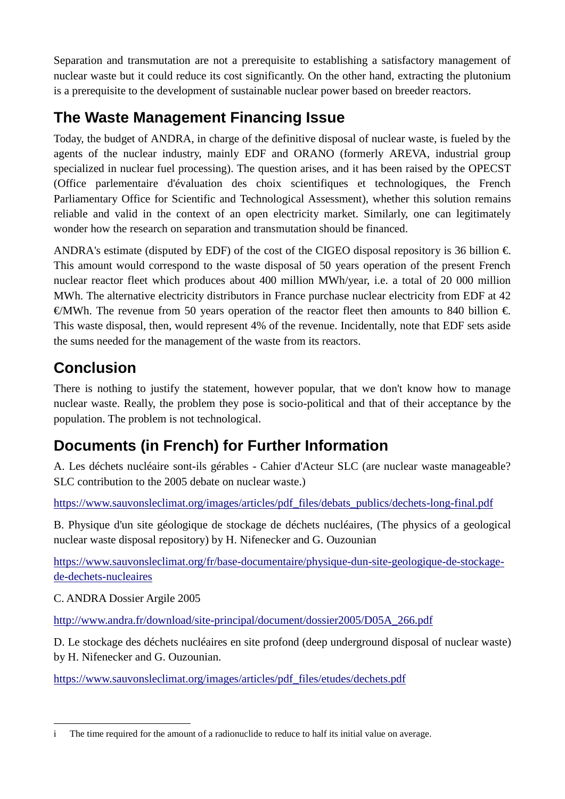Separation and transmutation are not a prerequisite to establishing a satisfactory management of nuclear waste but it could reduce its cost significantly. On the other hand, extracting the plutonium is a prerequisite to the development of sustainable nuclear power based on breeder reactors.

## **The Waste Management Financing Issue**

Today, the budget of ANDRA, in charge of the definitive disposal of nuclear waste, is fueled by the agents of the nuclear industry, mainly EDF and ORANO (formerly AREVA, industrial group specialized in nuclear fuel processing). The question arises, and it has been raised by the OPECST (Office parlementaire d'évaluation des choix scientifiques et technologiques, the French Parliamentary Office for Scientific and Technological Assessment), whether this solution remains reliable and valid in the context of an open electricity market. Similarly, one can legitimately wonder how the research on separation and transmutation should be financed.

ANDRA's estimate (disputed by EDF) of the cost of the CIGEO disposal repository is 36 billion  $\epsilon$ . This amount would correspond to the waste disposal of 50 years operation of the present French nuclear reactor fleet which produces about 400 million MWh/year, i.e. a total of 20 000 million MWh. The alternative electricity distributors in France purchase nuclear electricity from EDF at 42 €/MWh. The revenue from 50 years operation of the reactor fleet then amounts to 840 billion  $\epsilon$ . This waste disposal, then, would represent 4% of the revenue. Incidentally, note that EDF sets aside the sums needed for the management of the waste from its reactors.

## **Conclusion**

There is nothing to justify the statement, however popular, that we don't know how to manage nuclear waste. Really, the problem they pose is socio-political and that of their acceptance by the population. The problem is not technological.

# **Documents (in French) for Further Information**

A. Les déchets nucléaire sont-ils gérables - Cahier d'Acteur SLC (are nuclear waste manageable? SLC contribution to the 2005 debate on nuclear waste.)

[https://www.sauvonsleclimat.org/images/articles/pdf\\_files/debats\\_publics/dechets](https://www.sauvonsleclimat.org/images/articles/pdf_files/debats_publics/dechets-long-final.pdf)-long-final.pdf

B. Physique d'un site géologique de stockage de déchets nucléaires, (The physics of a geological nuclear waste disposal repository) by H. Nifenecker and G. Ouzounian

[https://www.sauvonsleclimat.org/fr/base](https://www.sauvonsleclimat.org/fr/base-documentaire/physique-dun-site-geologique-de-stockage-de-dechets-nucleaires)-documentaire/physique-dun-site-geologique-de-stockagede-dechets-[nucleaires](https://www.sauvonsleclimat.org/fr/base-documentaire/physique-dun-site-geologique-de-stockage-de-dechets-nucleaires)

C. ANDRA Dossier Argile 2005

http://www.andra.fr/download/site-[principal/document/dossier2005/D05A\\_266.pdf](http://www.andra.fr/download/site-principal/document/dossier2005/D05A_266.pdf)

D. Le stockage des déchets nucléaires en site profond (deep underground disposal of nuclear waste) by H. Nifenecker and G. Ouzounian.

[https://www.sauvonsleclimat.org/images/articles/pdf\\_files/etudes/dechets.pdf](https://www.sauvonsleclimat.org/images/articles/pdf_files/etudes/dechets.pdf)

<sup>&</sup>lt;u>.</u> i The time required for the amount of a radionuclide to reduce to half its initial value on average.